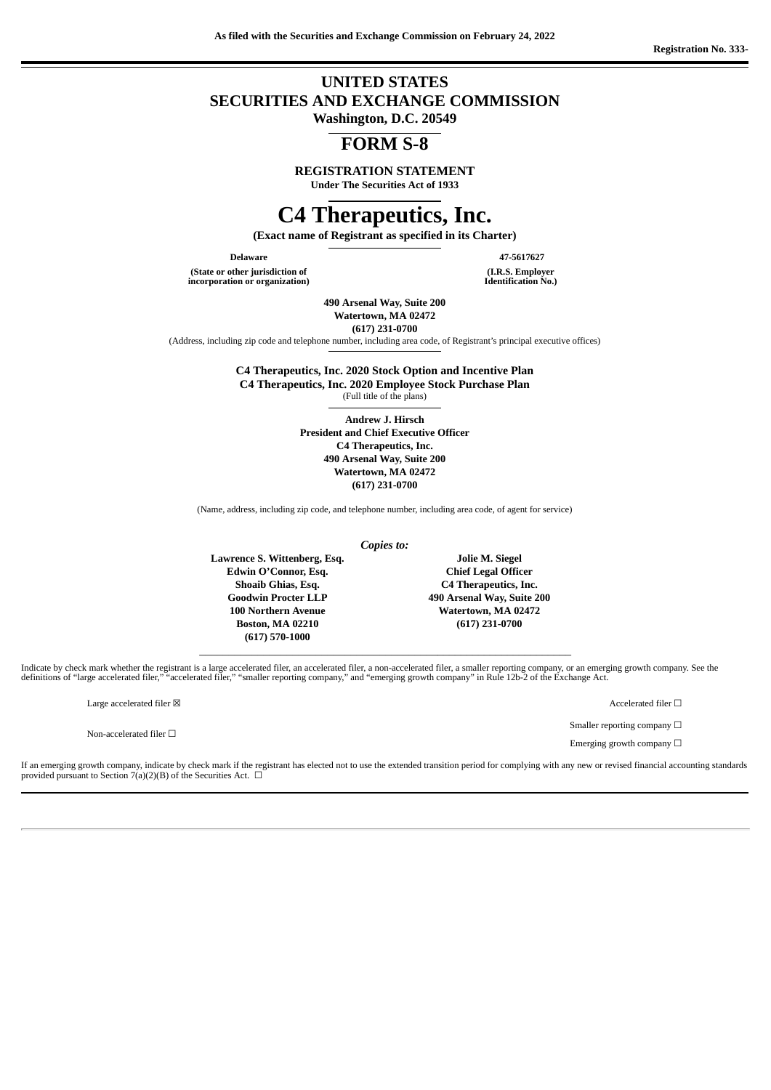# **UNITED STATES SECURITIES AND EXCHANGE COMMISSION**

**Washington, D.C. 20549**

# **FORM S-8**

**REGISTRATION STATEMENT**

**Under The Securities Act of 1933**

# **C4 Therapeutics, Inc.**

**(Exact name of Registrant as specified in its Charter)**

**(State or other jurisdiction of incorporation or organization)**

**Delaware 47-5617627 (I.R.S. Employer Identification No.)**

> **490 Arsenal Way, Suite 200 Watertown, MA 02472**

**(617) 231-0700**

(Address, including zip code and telephone number, including area code, of Registrant's principal executive offices)

**C4 Therapeutics, Inc. 2020 Stock Option and Incentive Plan C4 Therapeutics, Inc. 2020 Employee Stock Purchase Plan**

(Full title of the plans)

**Andrew J. Hirsch President and Chief Executive Officer C4 Therapeutics, Inc. 490 Arsenal Way, Suite 200 Watertown, MA 02472 (617) 231-0700**

(Name, address, including zip code, and telephone number, including area code, of agent for service)

*Copies to:*

**Lawrence S. Wittenberg, Esq. Edwin O'Connor, Esq. Shoaib Ghias, Esq. Goodwin Procter LLP 100 Northern Avenue Boston, MA 02210 (617) 570-1000** \_\_\_\_\_\_\_\_\_\_\_\_\_\_\_\_\_\_\_\_\_\_\_\_\_\_\_\_\_\_\_\_\_\_\_\_\_\_\_\_\_\_\_\_\_\_\_\_\_\_\_\_\_\_\_\_\_\_\_\_\_\_\_\_

**Jolie M. Siegel Chief Legal Officer C4 Therapeutics, Inc. 490 Arsenal Way, Suite 200 Watertown, MA 02472 (617) 231-0700**

Indicate by check mark whether the registrant is a large accelerated filer, an accelerated filer, a non-accelerated filer, a smaller reporting company, or an emerging growth company. See the definitions of "large accelerated filer," "accelerated filer," "smaller reporting company," and "emerging growth company" in Rule 12b-2 of the Exchange Act.

 $\label{eq:1} \text{Large accelerated filter} \boxtimes \text{} \tag{1} \Box$ 

Non-accelerated filer  $□$ 

Smaller reporting company  $\Box$ 

Emerging growth company  $\Box$ 

If an emerging growth company, indicate by check mark if the registrant has elected not to use the extended transition period for complying with any new or revised financial accounting standards provided pursuant to Section 7(a)(2)(B) of the Securities Act.  $\Box$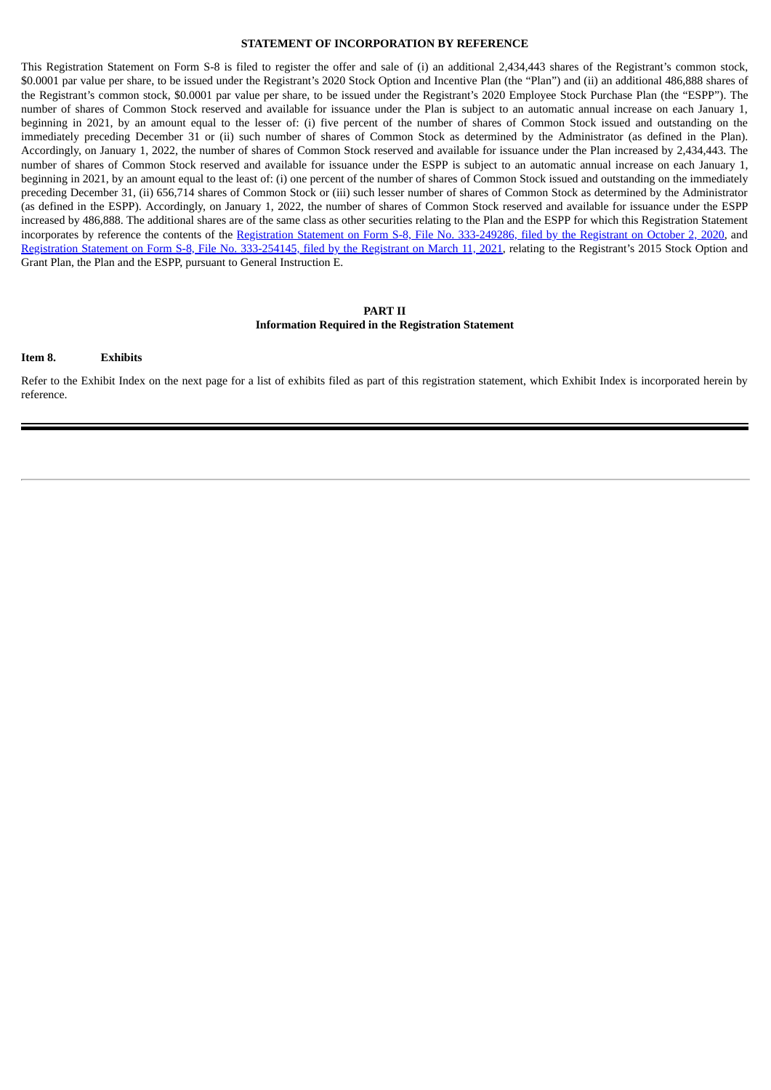#### **STATEMENT OF INCORPORATION BY REFERENCE**

This Registration Statement on Form S-8 is filed to register the offer and sale of (i) an additional 2,434,443 shares of the Registrant's common stock, \$0.0001 par value per share, to be issued under the Registrant's 2020 Stock Option and Incentive Plan (the "Plan") and (ii) an additional 486,888 shares of the Registrant's common stock, \$0.0001 par value per share, to be issued under the Registrant's 2020 Employee Stock Purchase Plan (the "ESPP"). The number of shares of Common Stock reserved and available for issuance under the Plan is subject to an automatic annual increase on each January 1, beginning in 2021, by an amount equal to the lesser of: (i) five percent of the number of shares of Common Stock issued and outstanding on the immediately preceding December 31 or (ii) such number of shares of Common Stock as determined by the Administrator (as defined in the Plan). Accordingly, on January 1, 2022, the number of shares of Common Stock reserved and available for issuance under the Plan increased by 2,434,443. The number of shares of Common Stock reserved and available for issuance under the ESPP is subject to an automatic annual increase on each January 1, beginning in 2021, by an amount equal to the least of: (i) one percent of the number of shares of Common Stock issued and outstanding on the immediately preceding December 31, (ii) 656,714 shares of Common Stock or (iii) such lesser number of shares of Common Stock as determined by the Administrator (as defined in the ESPP). Accordingly, on January 1, 2022, the number of shares of Common Stock reserved and available for issuance under the ESPP increased by 486,888. The additional shares are of the same class as other securities relating to the Plan and the ESPP for which this Registration Statement incorporates by reference the contents of the Registration Statement on Form S-8, File No. [333-249286,](http://www.sec.gov/Archives/edgar/data/1662579/000119312520262640/d60538ds8.htm) filed by the Registrant on October 2, 2020, and Registration Statement on Form S-8, File No. [333-254145,](http://www.sec.gov/Archives/edgar/data/1662579/000156459021012540/cccc-s8.htm) filed by the Registrant on March 11, 2021, relating to the Registrant's 2015 Stock Option and Grant Plan, the Plan and the ESPP, pursuant to General Instruction E.

#### **PART II Information Required in the Registration Statement**

**Item 8. Exhibits**

Refer to the Exhibit Index on the next page for a list of exhibits filed as part of this registration statement, which Exhibit Index is incorporated herein by reference.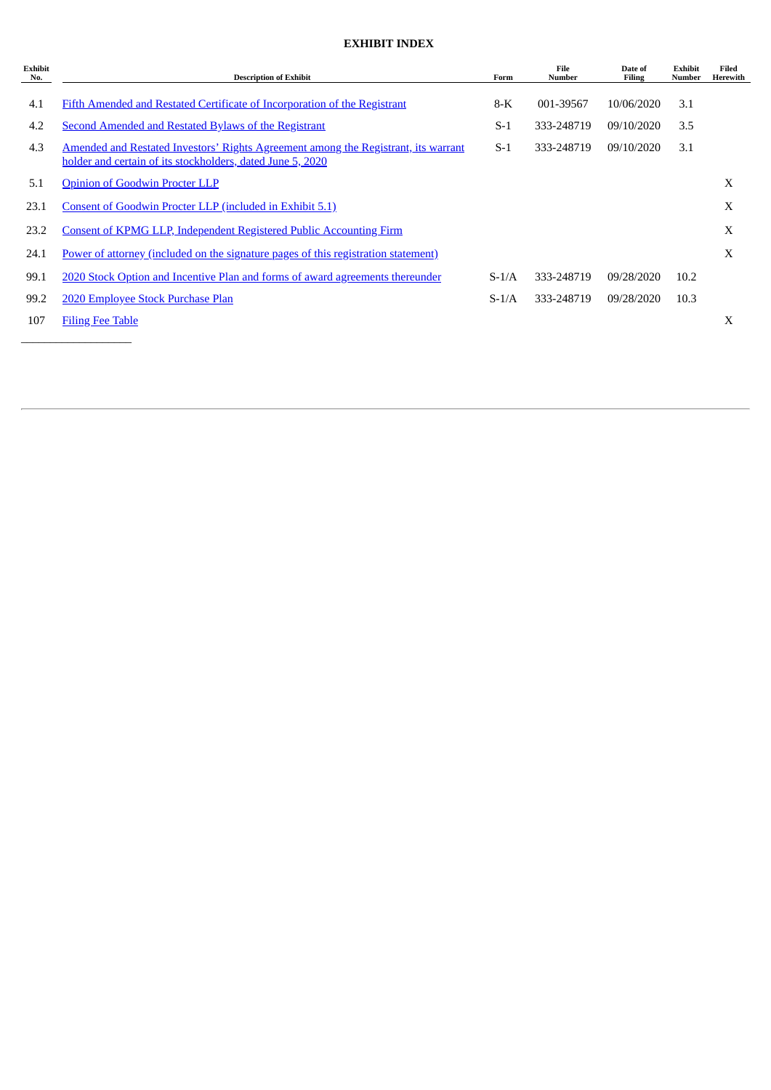## **EXHIBIT INDEX**

| <b>Exhibit</b><br>No. | <b>Description of Exhibit</b>                                                                                                                    | Form    | File<br>Number | Date of<br>Filing | Exhibit<br><b>Number</b> | Filed<br>Herewith |
|-----------------------|--------------------------------------------------------------------------------------------------------------------------------------------------|---------|----------------|-------------------|--------------------------|-------------------|
|                       |                                                                                                                                                  |         |                |                   |                          |                   |
| 4.1                   | Fifth Amended and Restated Certificate of Incorporation of the Registrant                                                                        | $8-K$   | 001-39567      | 10/06/2020        | 3.1                      |                   |
| 4.2                   | Second Amended and Restated Bylaws of the Registrant                                                                                             | $S-1$   | 333-248719     | 09/10/2020        | 3.5                      |                   |
| 4.3                   | Amended and Restated Investors' Rights Agreement among the Registrant, its warrant<br>holder and certain of its stockholders, dated June 5, 2020 | $S-1$   | 333-248719     | 09/10/2020        | 3.1                      |                   |
| 5.1                   | <b>Opinion of Goodwin Procter LLP</b>                                                                                                            |         |                |                   |                          | X                 |
| 23.1                  | Consent of Goodwin Procter LLP (included in Exhibit 5.1)                                                                                         |         |                |                   |                          | X                 |
| 23.2                  | <b>Consent of KPMG LLP, Independent Registered Public Accounting Firm</b>                                                                        |         |                |                   |                          | X                 |
| 24.1                  | <u>Power of attorney (included on the signature pages of this registration statement)</u>                                                        |         |                |                   |                          | X                 |
| 99.1                  | 2020 Stock Option and Incentive Plan and forms of award agreements thereunder                                                                    | $S-1/A$ | 333-248719     | 09/28/2020        | 10.2                     |                   |
| 99.2                  | 2020 Employee Stock Purchase Plan                                                                                                                | $S-1/A$ | 333-248719     | 09/28/2020        | 10.3                     |                   |
| 107                   | <b>Filing Fee Table</b>                                                                                                                          |         |                |                   |                          | X                 |
|                       |                                                                                                                                                  |         |                |                   |                          |                   |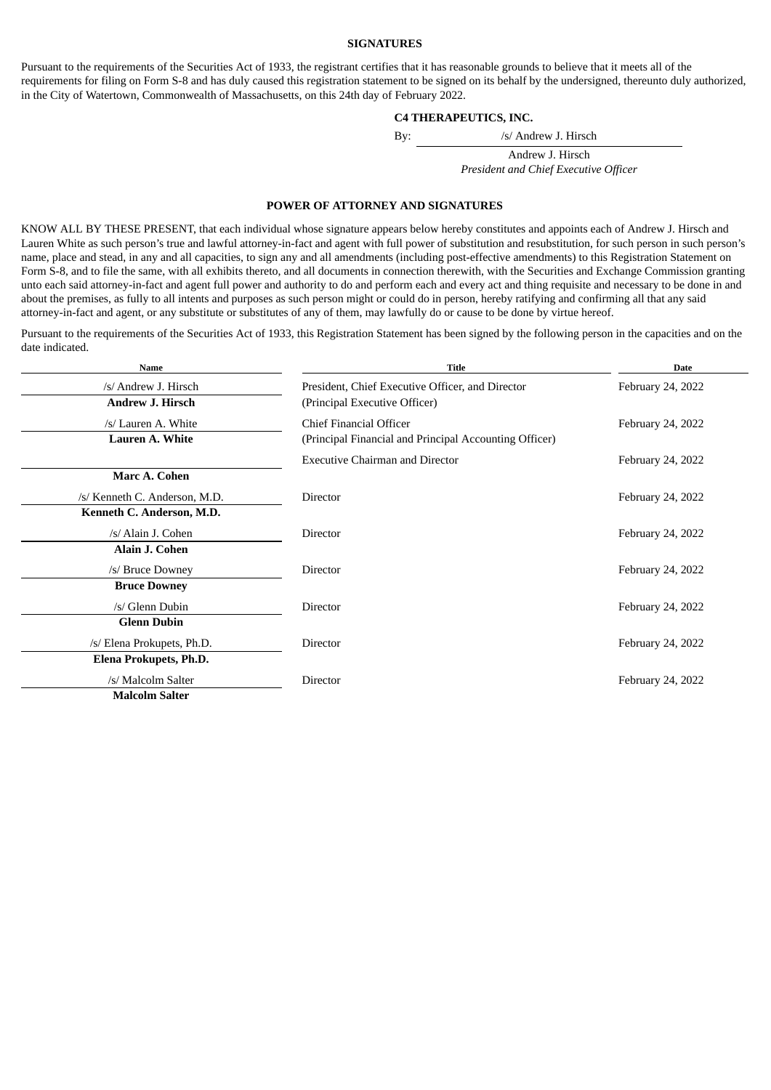#### **SIGNATURES**

Pursuant to the requirements of the Securities Act of 1933, the registrant certifies that it has reasonable grounds to believe that it meets all of the requirements for filing on Form S-8 and has duly caused this registration statement to be signed on its behalf by the undersigned, thereunto duly authorized, in the City of Watertown, Commonwealth of Massachusetts, on this 24th day of February 2022.

#### **C4 THERAPEUTICS, INC.**

By: /s/ Andrew J. Hirsch

Andrew J. Hirsch *President and Chief Executive Officer*

#### **POWER OF ATTORNEY AND SIGNATURES**

<span id="page-3-0"></span>KNOW ALL BY THESE PRESENT, that each individual whose signature appears below hereby constitutes and appoints each of Andrew J. Hirsch and Lauren White as such person's true and lawful attorney-in-fact and agent with full power of substitution and resubstitution, for such person in such person's name, place and stead, in any and all capacities, to sign any and all amendments (including post-effective amendments) to this Registration Statement on Form S-8, and to file the same, with all exhibits thereto, and all documents in connection therewith, with the Securities and Exchange Commission granting unto each said attorney-in-fact and agent full power and authority to do and perform each and every act and thing requisite and necessary to be done in and about the premises, as fully to all intents and purposes as such person might or could do in person, hereby ratifying and confirming all that any said attorney-in-fact and agent, or any substitute or substitutes of any of them, may lawfully do or cause to be done by virtue hereof.

Pursuant to the requirements of the Securities Act of 1933, this Registration Statement has been signed by the following person in the capacities and on the date indicated.

| <b>Name</b>                   | <b>Title</b>                                           | <b>Date</b>       |  |  |
|-------------------------------|--------------------------------------------------------|-------------------|--|--|
| /s/ Andrew J. Hirsch          | President, Chief Executive Officer, and Director       | February 24, 2022 |  |  |
| <b>Andrew J. Hirsch</b>       | (Principal Executive Officer)                          |                   |  |  |
| /s/ Lauren A. White           | Chief Financial Officer                                | February 24, 2022 |  |  |
| Lauren A. White               | (Principal Financial and Principal Accounting Officer) |                   |  |  |
|                               | <b>Executive Chairman and Director</b>                 | February 24, 2022 |  |  |
| Marc A. Cohen                 |                                                        |                   |  |  |
| /s/ Kenneth C. Anderson, M.D. | <b>Director</b>                                        | February 24, 2022 |  |  |
| Kenneth C. Anderson, M.D.     |                                                        |                   |  |  |
| /s/ Alain J. Cohen            | <b>Director</b>                                        | February 24, 2022 |  |  |
| <b>Alain J. Cohen</b>         |                                                        |                   |  |  |
| /s/ Bruce Downey              | <b>Director</b>                                        | February 24, 2022 |  |  |
| <b>Bruce Downey</b>           |                                                        |                   |  |  |
| /s/ Glenn Dubin               | Director                                               | February 24, 2022 |  |  |
| <b>Glenn Dubin</b>            |                                                        |                   |  |  |
| /s/ Elena Prokupets, Ph.D.    | <b>Director</b>                                        | February 24, 2022 |  |  |
| Elena Prokupets, Ph.D.        |                                                        |                   |  |  |
| /s/ Malcolm Salter            | Director                                               | February 24, 2022 |  |  |
| <b>Malcolm Salter</b>         |                                                        |                   |  |  |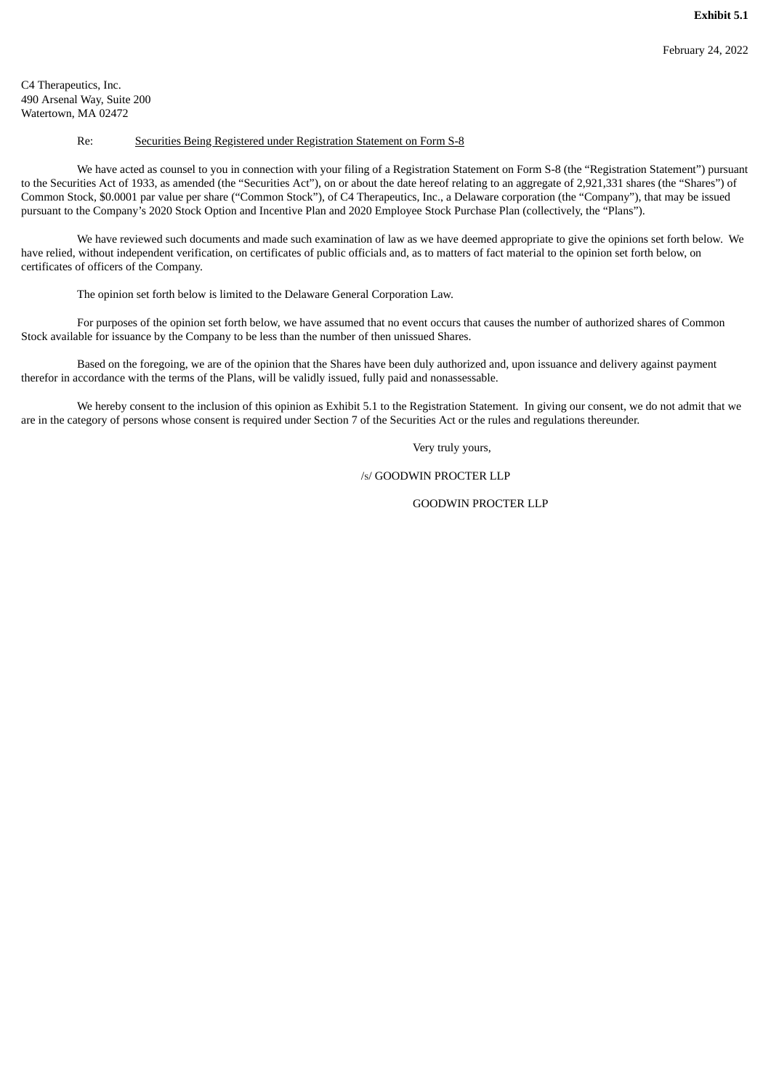<span id="page-4-0"></span>C4 Therapeutics, Inc. 490 Arsenal Way, Suite 200 Watertown, MA 02472

#### Re: Securities Being Registered under Registration Statement on Form S-8

We have acted as counsel to you in connection with your filing of a Registration Statement on Form S-8 (the "Registration Statement") pursuant to the Securities Act of 1933, as amended (the "Securities Act"), on or about the date hereof relating to an aggregate of 2,921,331 shares (the "Shares") of Common Stock, \$0.0001 par value per share ("Common Stock"), of C4 Therapeutics, Inc., a Delaware corporation (the "Company"), that may be issued pursuant to the Company's 2020 Stock Option and Incentive Plan and 2020 Employee Stock Purchase Plan (collectively, the "Plans").

We have reviewed such documents and made such examination of law as we have deemed appropriate to give the opinions set forth below. We have relied, without independent verification, on certificates of public officials and, as to matters of fact material to the opinion set forth below, on certificates of officers of the Company.

The opinion set forth below is limited to the Delaware General Corporation Law.

For purposes of the opinion set forth below, we have assumed that no event occurs that causes the number of authorized shares of Common Stock available for issuance by the Company to be less than the number of then unissued Shares.

Based on the foregoing, we are of the opinion that the Shares have been duly authorized and, upon issuance and delivery against payment therefor in accordance with the terms of the Plans, will be validly issued, fully paid and nonassessable.

We hereby consent to the inclusion of this opinion as Exhibit 5.1 to the Registration Statement. In giving our consent, we do not admit that we are in the category of persons whose consent is required under Section 7 of the Securities Act or the rules and regulations thereunder.

Very truly yours,

#### /S/ GOODWIN PROCTER LLP

## GOODWIN PROCTER LLP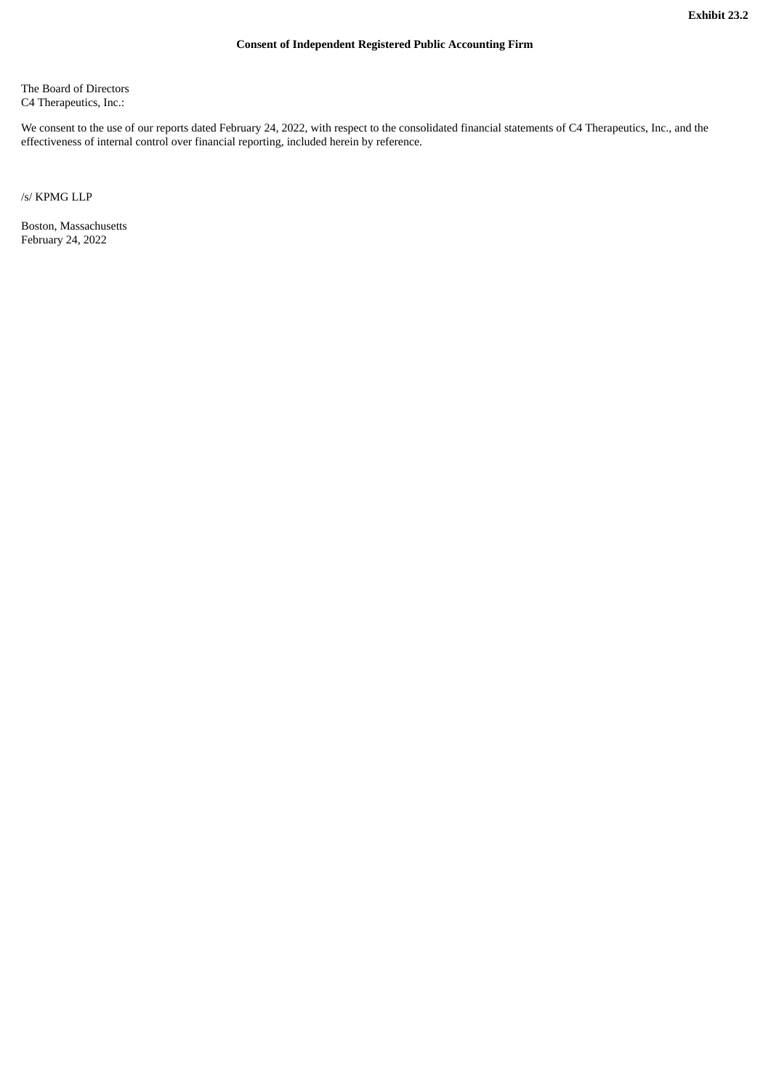<span id="page-5-0"></span>The Board of Directors C4 Therapeutics, Inc.:

We consent to the use of our reports dated February 24, 2022, with respect to the consolidated financial statements of C4 Therapeutics, Inc., and the effectiveness of internal control over financial reporting, included herein by reference.

/s/ KPMG LLP

Boston, Massachusetts February 24, 2022